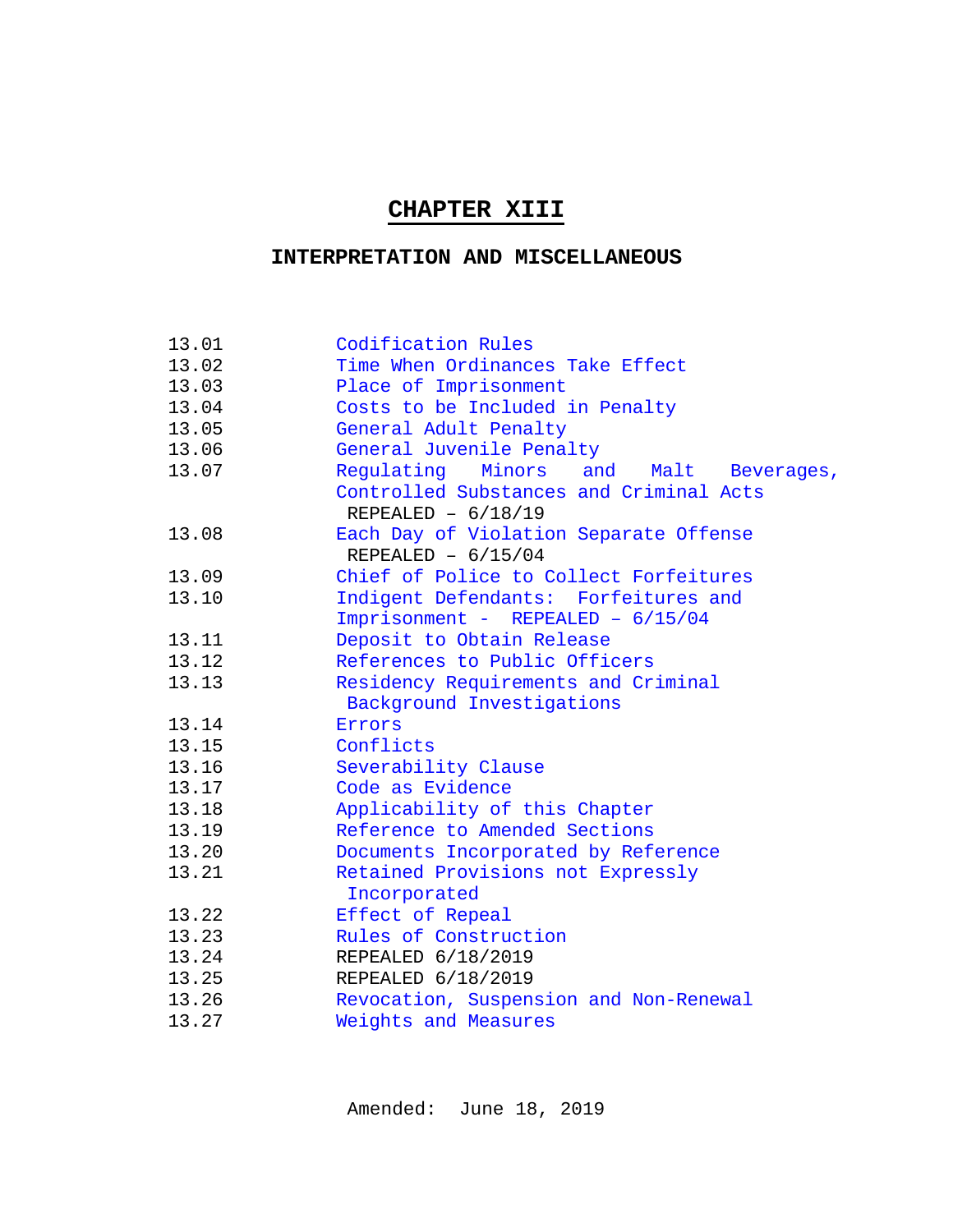# **CHAPTER XIII**

# **INTERPRETATION AND MISCELLANEOUS**

| 13.01 | Codification Rules                                              |
|-------|-----------------------------------------------------------------|
| 13.02 | Time When Ordinances Take Effect                                |
| 13.03 | Place of Imprisonment                                           |
| 13.04 | Costs to be Included in Penalty                                 |
| 13.05 | General Adult Penalty                                           |
| 13.06 | General Juvenile Penalty                                        |
| 13.07 | Regulating<br>Minors<br>and<br>Malt<br>Beverages,               |
|       | Controlled Substances and Criminal Acts<br>REPEALED $- 6/18/19$ |
| 13.08 | Each Day of Violation Separate Offense                          |
|       | REPEALED $- 6/15/04$                                            |
| 13.09 | Chief of Police to Collect Forfeitures                          |
| 13.10 | Indigent Defendants: Forfeitures and                            |
|       | Imprisonment - REPEALED - 6/15/04                               |
| 13.11 | Deposit to Obtain Release                                       |
| 13.12 | References to Public Officers                                   |
| 13.13 | Residency Requirements and Criminal                             |
|       | Background Investigations                                       |
| 13.14 | Errors                                                          |
| 13.15 | Conflicts                                                       |
| 13.16 | Severability Clause                                             |
| 13.17 | Code as Evidence                                                |
| 13.18 | Applicability of this Chapter                                   |
| 13.19 | Reference to Amended Sections                                   |
| 13.20 | Documents Incorporated by Reference                             |
| 13.21 | Retained Provisions not Expressly<br>Incorporated               |
| 13.22 | Effect of Repeal                                                |
| 13.23 | Rules of Construction                                           |
| 13.24 | REPEALED 6/18/2019                                              |
| 13.25 | REPEALED 6/18/2019                                              |
| 13.26 | Revocation, Suspension and Non-Renewal                          |
| 13.27 | Weights and Measures                                            |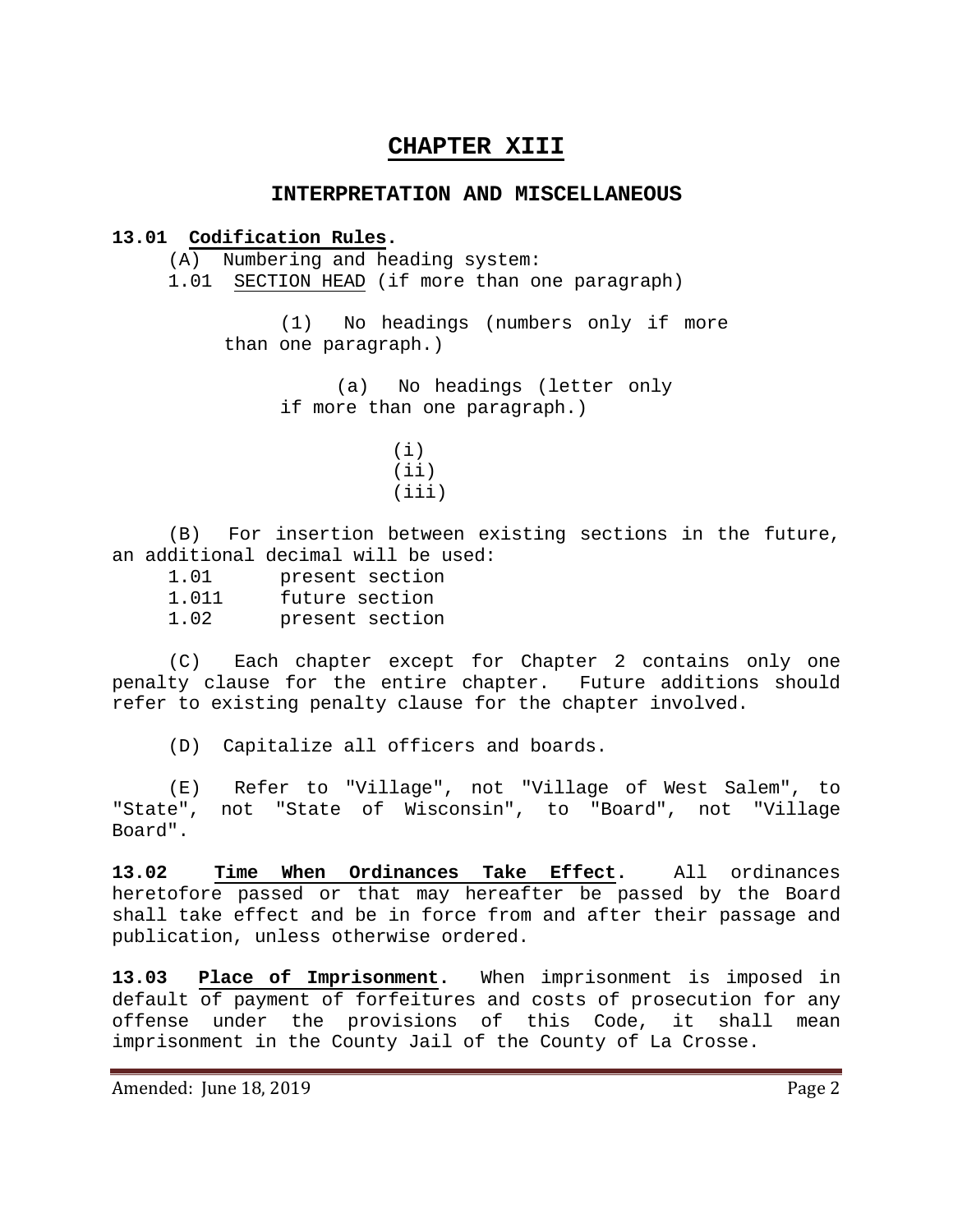# **CHAPTER XIII**

#### **INTERPRETATION AND MISCELLANEOUS**

#### **13.01 Codification Rules.**

<span id="page-1-0"></span>(A) Numbering and heading system:

1.01 SECTION HEAD (if more than one paragraph)

(1) No headings (numbers only if more than one paragraph.)

> (a) No headings (letter only if more than one paragraph.)

(B) For insertion between existing sections in the future, an additional decimal will be used:

1.01 present section 1.011 future section 1.02 present section

(C) Each chapter except for Chapter 2 contains only one penalty clause for the entire chapter. Future additions should refer to existing penalty clause for the chapter involved.

(D) Capitalize all officers and boards.

(E) Refer to "Village", not "Village of West Salem", to "State", not "State of Wisconsin", to "Board", not "Village Board".

<span id="page-1-1"></span>**13.02 Time When Ordinances Take Effect.** All ordinances heretofore passed or that may hereafter be passed by the Board shall take effect and be in force from and after their passage and publication, unless otherwise ordered.

<span id="page-1-2"></span>**13.03 Place of Imprisonment.** When imprisonment is imposed in default of payment of forfeitures and costs of prosecution for any offense under the provisions of this Code, it shall mean imprisonment in the County Jail of the County of La Crosse.

<sup>(</sup>i)  $(iii)$  $(iii)$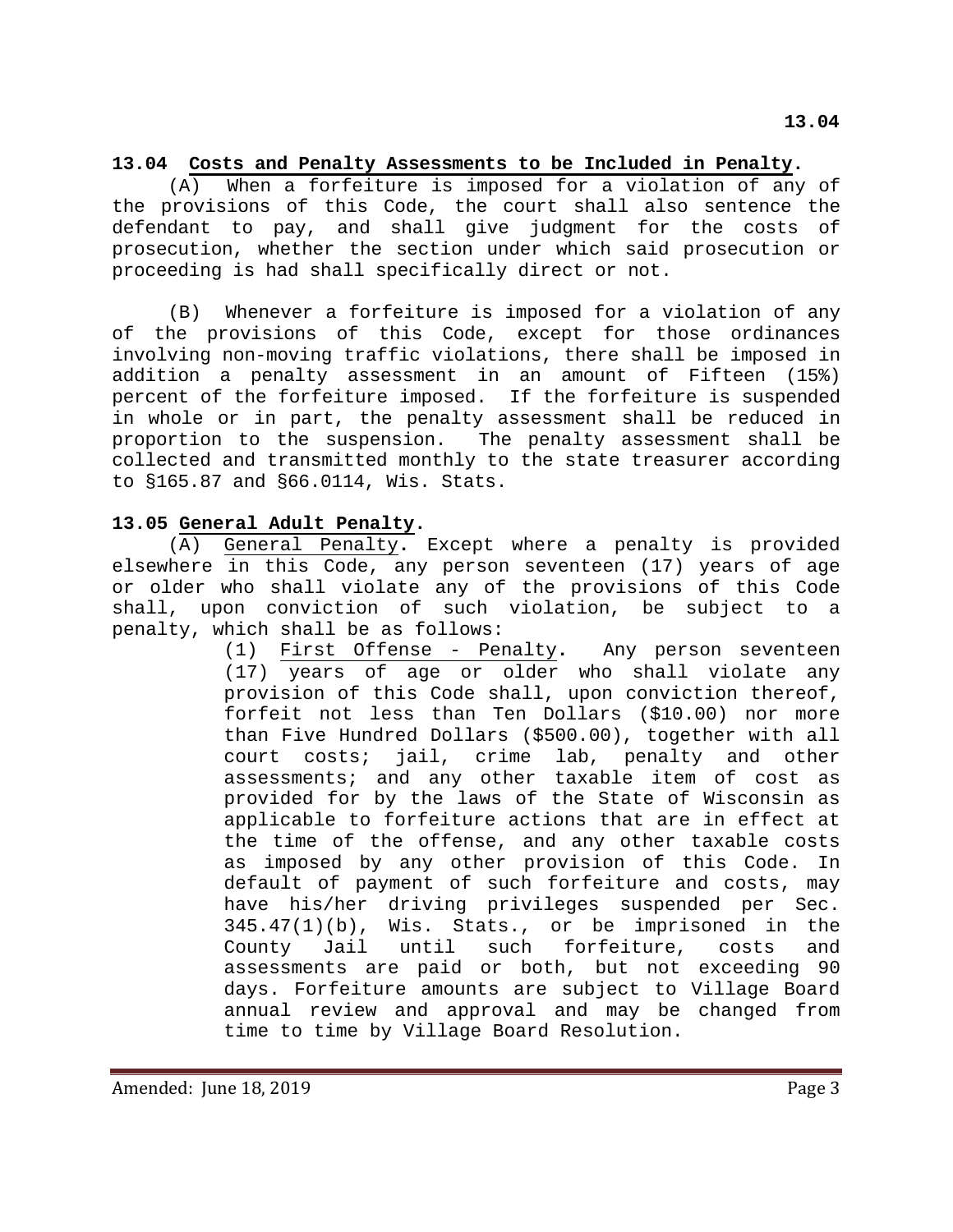#### <span id="page-2-0"></span>**13.04 Costs and Penalty Assessments to be Included in Penalty.**

(A) When a forfeiture is imposed for a violation of any of the provisions of this Code, the court shall also sentence the defendant to pay, and shall give judgment for the costs of prosecution, whether the section under which said prosecution or proceeding is had shall specifically direct or not.

(B) Whenever a forfeiture is imposed for a violation of any of the provisions of this Code, except for those ordinances involving non-moving traffic violations, there shall be imposed in addition a penalty assessment in an amount of Fifteen (15%) percent of the forfeiture imposed. If the forfeiture is suspended in whole or in part, the penalty assessment shall be reduced in proportion to the suspension. The penalty assessment shall be collected and transmitted monthly to the state treasurer according to §165.87 and §66.0114, Wis. Stats.

#### <span id="page-2-1"></span>**13.05 General Adult Penalty.**

(A) General Penalty**.** Except where a penalty is provided elsewhere in this Code, any person seventeen (17) years of age or older who shall violate any of the provisions of this Code shall, upon conviction of such violation, be subject to a penalty, which shall be as follows:

> (1) First Offense - Penalty**.** Any person seventeen (17) years of age or older who shall violate any provision of this Code shall, upon conviction thereof, forfeit not less than Ten Dollars (\$10.00) nor more than Five Hundred Dollars (\$500.00), together with all court costs; jail, crime lab, penalty and other assessments; and any other taxable item of cost as provided for by the laws of the State of Wisconsin as applicable to forfeiture actions that are in effect at the time of the offense, and any other taxable costs as imposed by any other provision of this Code. In default of payment of such forfeiture and costs, may have his/her driving privileges suspended per Sec. 345.47(1)(b), Wis. Stats., or be imprisoned in the County Jail until such forfeiture, costs and assessments are paid or both, but not exceeding 90 days. Forfeiture amounts are subject to Village Board annual review and approval and may be changed from time to time by Village Board Resolution.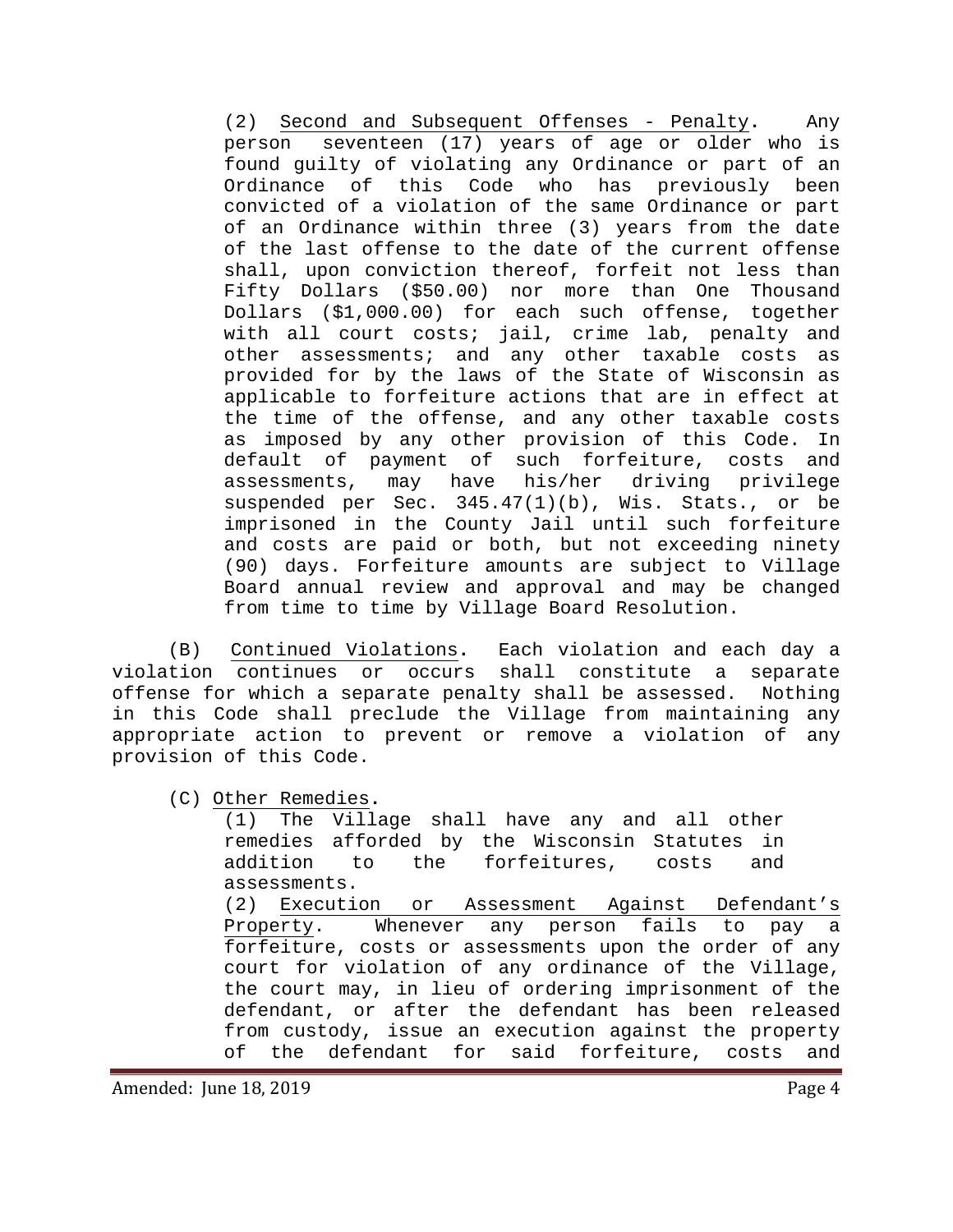(2) Second and Subsequent Offenses - Penalty**.** Any person seventeen (17) years of age or older who is found guilty of violating any Ordinance or part of an Ordinance of this Code who has previously been convicted of a violation of the same Ordinance or part of an Ordinance within three (3) years from the date of the last offense to the date of the current offense shall, upon conviction thereof, forfeit not less than Fifty Dollars (\$50.00) nor more than One Thousand Dollars (\$1,000.00) for each such offense, together with all court costs; jail, crime lab, penalty and other assessments; and any other taxable costs as provided for by the laws of the State of Wisconsin as applicable to forfeiture actions that are in effect at the time of the offense, and any other taxable costs as imposed by any other provision of this Code. In default of payment of such forfeiture, costs and<br>assessments, may have his/her driving privilege assessments, may have his/her suspended per Sec. 345.47(1)(b), Wis. Stats., or be imprisoned in the County Jail until such forfeiture and costs are paid or both, but not exceeding ninety (90) days. Forfeiture amounts are subject to Village Board annual review and approval and may be changed from time to time by Village Board Resolution.

(B) Continued Violations**.** Each violation and each day a violation continues or occurs shall constitute a separate offense for which a separate penalty shall be assessed. Nothing in this Code shall preclude the Village from maintaining any appropriate action to prevent or remove a violation of any provision of this Code.

(C) Other Remedies**.**

(1) The Village shall have any and all other remedies afforded by the Wisconsin Statutes in<br>addition to the forfeitures, costs and forfeitures, assessments. (2) Execution or Assessment Against Defendant's Property. Whenever any person fails to pay a forfeiture, costs or assessments upon the order of any court for violation of any ordinance of the Village, the court may, in lieu of ordering imprisonment of the defendant, or after the defendant has been released from custody, issue an execution against the property<br>of the defendant for said forfeiture, costs and the defendant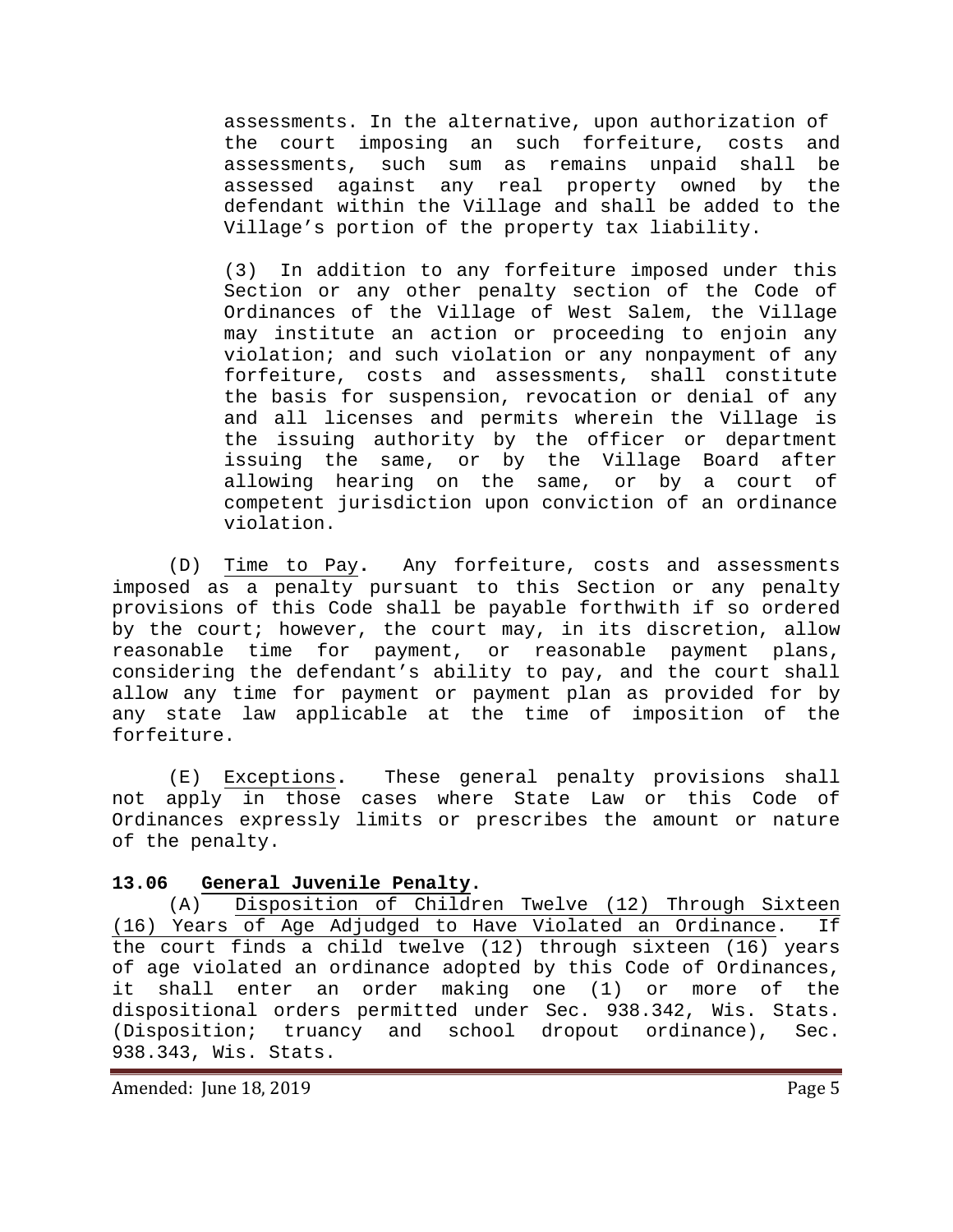assessments. In the alternative, upon authorization of the court imposing an such forfeiture, costs and<br>assessments, such sum as remains unpaid shall be assessments, such sum as remains unpaid shall assessed against any real property owned by the defendant within the Village and shall be added to the Village's portion of the property tax liability.

(3) In addition to any forfeiture imposed under this Section or any other penalty section of the Code of Ordinances of the Village of West Salem, the Village may institute an action or proceeding to enjoin any violation; and such violation or any nonpayment of any forfeiture, costs and assessments, shall constitute the basis for suspension, revocation or denial of any and all licenses and permits wherein the Village is the issuing authority by the officer or department issuing the same, or by the Village Board after allowing hearing on the same, or by a court of competent jurisdiction upon conviction of an ordinance violation.

(D) Time to Pay**.** Any forfeiture, costs and assessments imposed as a penalty pursuant to this Section or any penalty provisions of this Code shall be payable forthwith if so ordered by the court; however, the court may, in its discretion, allow reasonable time for payment, or reasonable payment plans, considering the defendant's ability to pay, and the court shall allow any time for payment or payment plan as provided for by any state law applicable at the time of imposition of the forfeiture.

(E) Exceptions**.** These general penalty provisions shall not apply in those cases where State Law or this Code of Ordinances expressly limits or prescribes the amount or nature of the penalty.

## <span id="page-4-0"></span>**13.06 General Juvenile Penalty.**

(A) Disposition of Children Twelve (12) Through Sixteen (16) Years of Age Adjudged to Have Violated an Ordinance. If the court finds a child twelve (12) through sixteen (16) years of age violated an ordinance adopted by this Code of Ordinances, it shall enter an order making one (1) or more of the dispositional orders permitted under Sec. 938.342, Wis. Stats. (Disposition; truancy and school dropout ordinance), Sec. 938.343, Wis. Stats.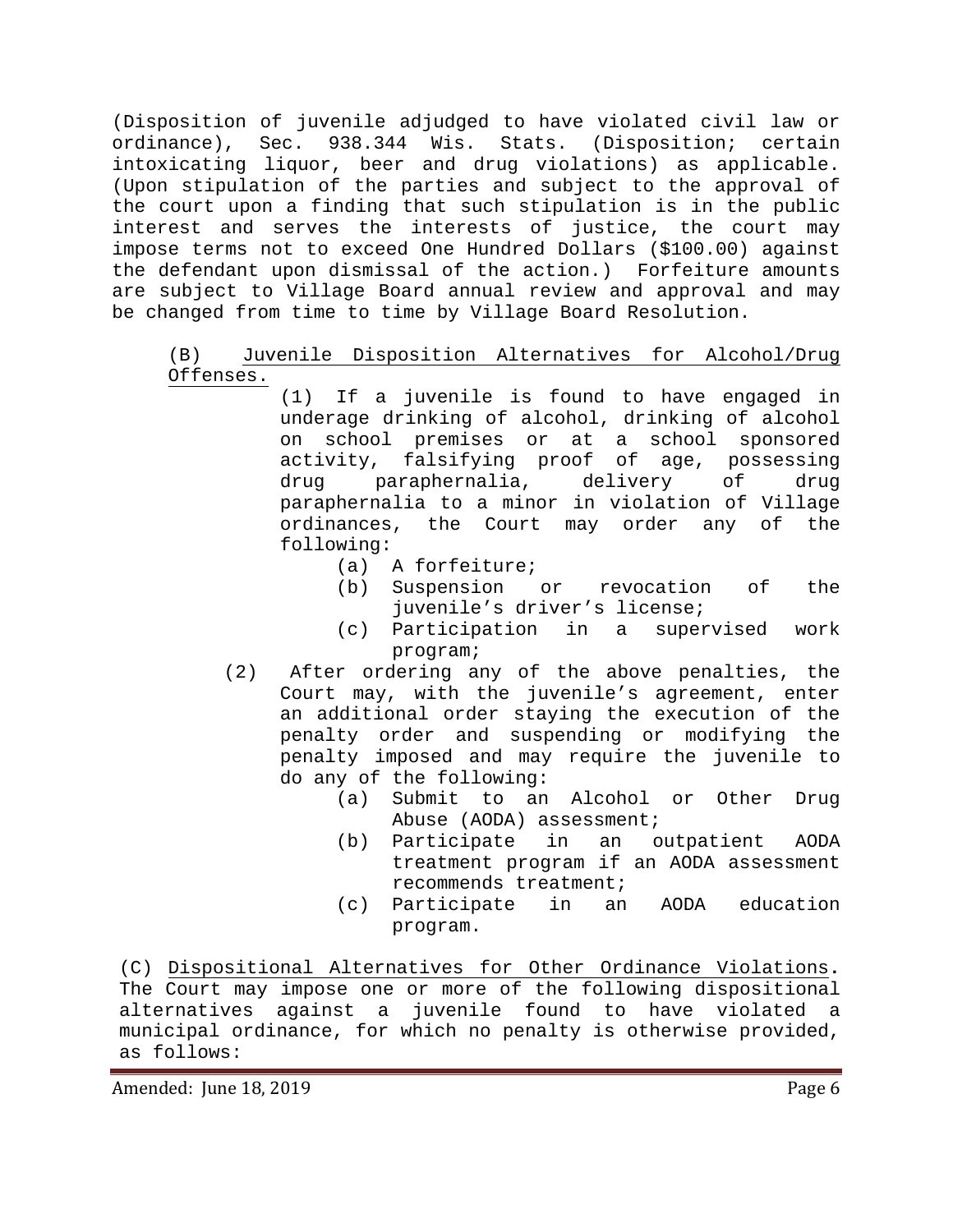(Disposition of juvenile adjudged to have violated civil law or ordinance), Sec. 938.344 Wis. Stats. (Disposition; certain intoxicating liquor, beer and drug violations) as applicable. (Upon stipulation of the parties and subject to the approval of the court upon a finding that such stipulation is in the public interest and serves the interests of justice, the court may impose terms not to exceed One Hundred Dollars (\$100.00) against the defendant upon dismissal of the action.) Forfeiture amounts are subject to Village Board annual review and approval and may be changed from time to time by Village Board Resolution.

# (B) Juvenile Disposition Alternatives for Alcohol/Drug Offenses.

(1) If a juvenile is found to have engaged in underage drinking of alcohol, drinking of alcohol on school premises or at a school sponsored activity, falsifying proof of age, possessing<br>drug paraphernalia, delivery of drug drug paraphernalia, delivery of drug paraphernalia to a minor in violation of Village ordinances, the Court may order any of the following:

- (a) A forfeiture;
- (b) Suspension or revocation of the juvenile's driver's license;
- (c) Participation in a supervised work program;
- (2) After ordering any of the above penalties, the Court may, with the juvenile's agreement, enter an additional order staying the execution of the penalty order and suspending or modifying the penalty imposed and may require the juvenile to do any of the following:
	- (a) Submit to an Alcohol or Other Drug Abuse (AODA) assessment;
	- (b) Participate in an outpatient AODA treatment program if an AODA assessment recommends treatment;
	- (c) Participate in an AODA education program.

(C) Dispositional Alternatives for Other Ordinance Violations**.** The Court may impose one or more of the following dispositional alternatives against a juvenile found to have violated a municipal ordinance, for which no penalty is otherwise provided, as follows: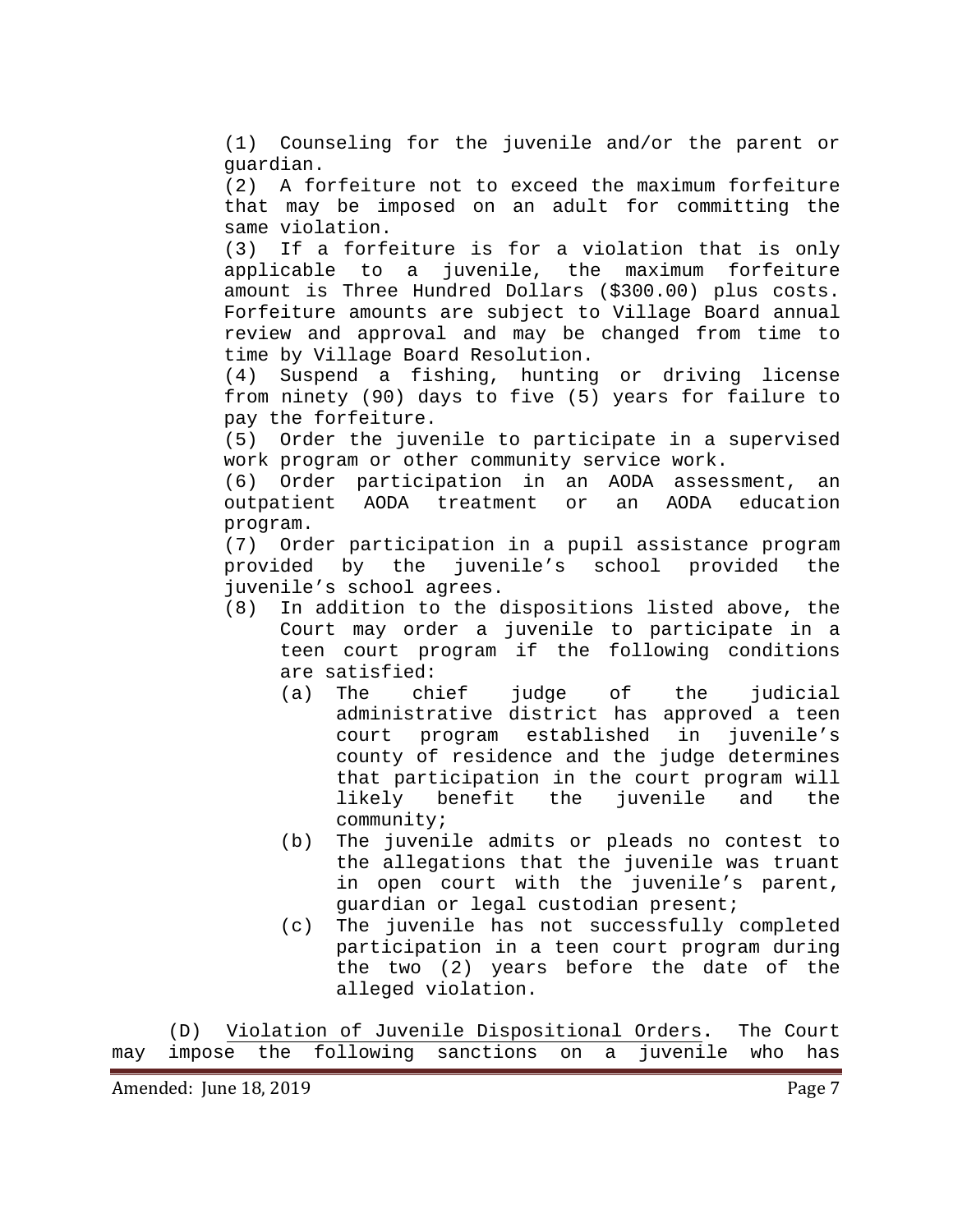(1) Counseling for the juvenile and/or the parent or guardian.

(2) A forfeiture not to exceed the maximum forfeiture that may be imposed on an adult for committing the same violation.

(3) If a forfeiture is for a violation that is only applicable to a juvenile, the maximum forfeiture amount is Three Hundred Dollars (\$300.00) plus costs. Forfeiture amounts are subject to Village Board annual review and approval and may be changed from time to time by Village Board Resolution.<br>(4) Suspend a fishing, hunting

Suspend a fishing, hunting or driving license from ninety (90) days to five (5) years for failure to pay the forfeiture.

(5) Order the juvenile to participate in a supervised work program or other community service work.

(6) Order participation in an AODA assessment, an AODA treatment program.

(7) Order participation in a pupil assistance program provided by the juvenile's school agrees.

- (8) In addition to the dispositions listed above, the Court may order a juvenile to participate in a teen court program if the following conditions are satisfied:<br>(a) The chief
	- judge of the judicial administrative district has approved a teen<br>court program established in juvenile's court program established in county of residence and the judge determines that participation in the court program will<br>likely benefit the juvenile and the the juvenile and the community;
	- (b) The juvenile admits or pleads no contest to the allegations that the juvenile was truant in open court with the juvenile's parent, guardian or legal custodian present;
	- (c) The juvenile has not successfully completed participation in a teen court program during the two (2) years before the date of the alleged violation.

(D) Violation of Juvenile Dispositional Orders**.** The Court may impose the following sanctions on a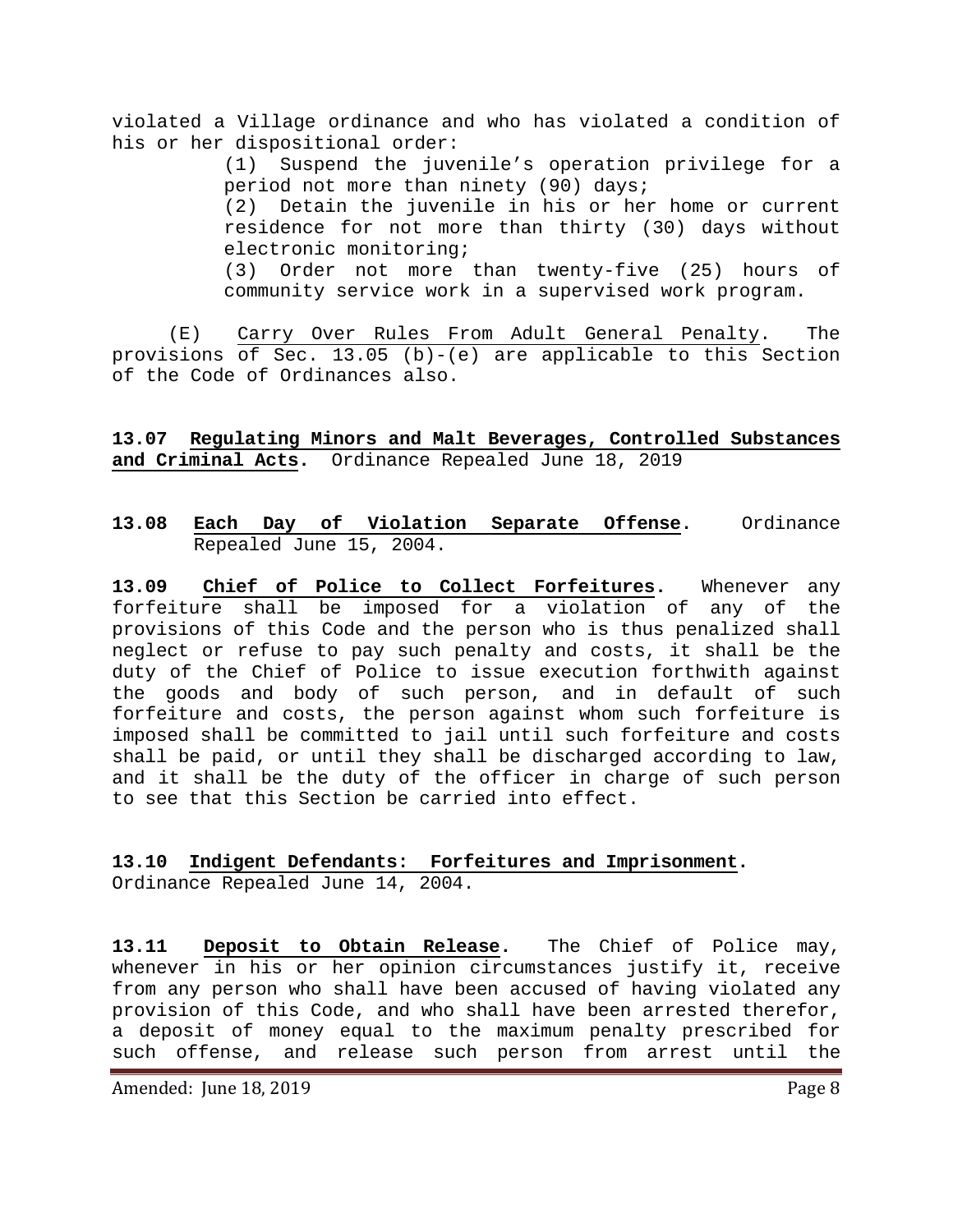violated a Village ordinance and who has violated a condition of his or her dispositional order:

> (1) Suspend the juvenile's operation privilege for a period not more than ninety (90) days; (2) Detain the juvenile in his or her home or current residence for not more than thirty (30) days without electronic monitoring; (3) Order not more than twenty-five (25) hours of community service work in a supervised work program.

(E) Carry Over Rules From Adult General Penalty. The provisions of Sec. 13.05 (b)-(e) are applicable to this Section of the Code of Ordinances also.

<span id="page-7-0"></span>**13.07 Regulating Minors and Malt Beverages, Controlled Substances and Criminal Acts.** Ordinance Repealed June 18, 2019

### <span id="page-7-1"></span>**13.08 Each Day of Violation Separate Offense.** Ordinance Repealed June 15, 2004.

<span id="page-7-2"></span>**13.09 Chief of Police to Collect Forfeitures.** Whenever any forfeiture shall be imposed for a violation of any of the provisions of this Code and the person who is thus penalized shall neglect or refuse to pay such penalty and costs, it shall be the duty of the Chief of Police to issue execution forthwith against the goods and body of such person, and in default of such forfeiture and costs, the person against whom such forfeiture is imposed shall be committed to jail until such forfeiture and costs shall be paid, or until they shall be discharged according to law, and it shall be the duty of the officer in charge of such person to see that this Section be carried into effect.

# <span id="page-7-3"></span>**13.10 Indigent Defendants: Forfeitures and Imprisonment.**

Ordinance Repealed June 14, 2004.

<span id="page-7-4"></span>**13.11 Deposit to Obtain Release.** The Chief of Police may, whenever in his or her opinion circumstances justify it, receive from any person who shall have been accused of having violated any provision of this Code, and who shall have been arrested therefor, a deposit of money equal to the maximum penalty prescribed for such offense, and release such person from arrest until the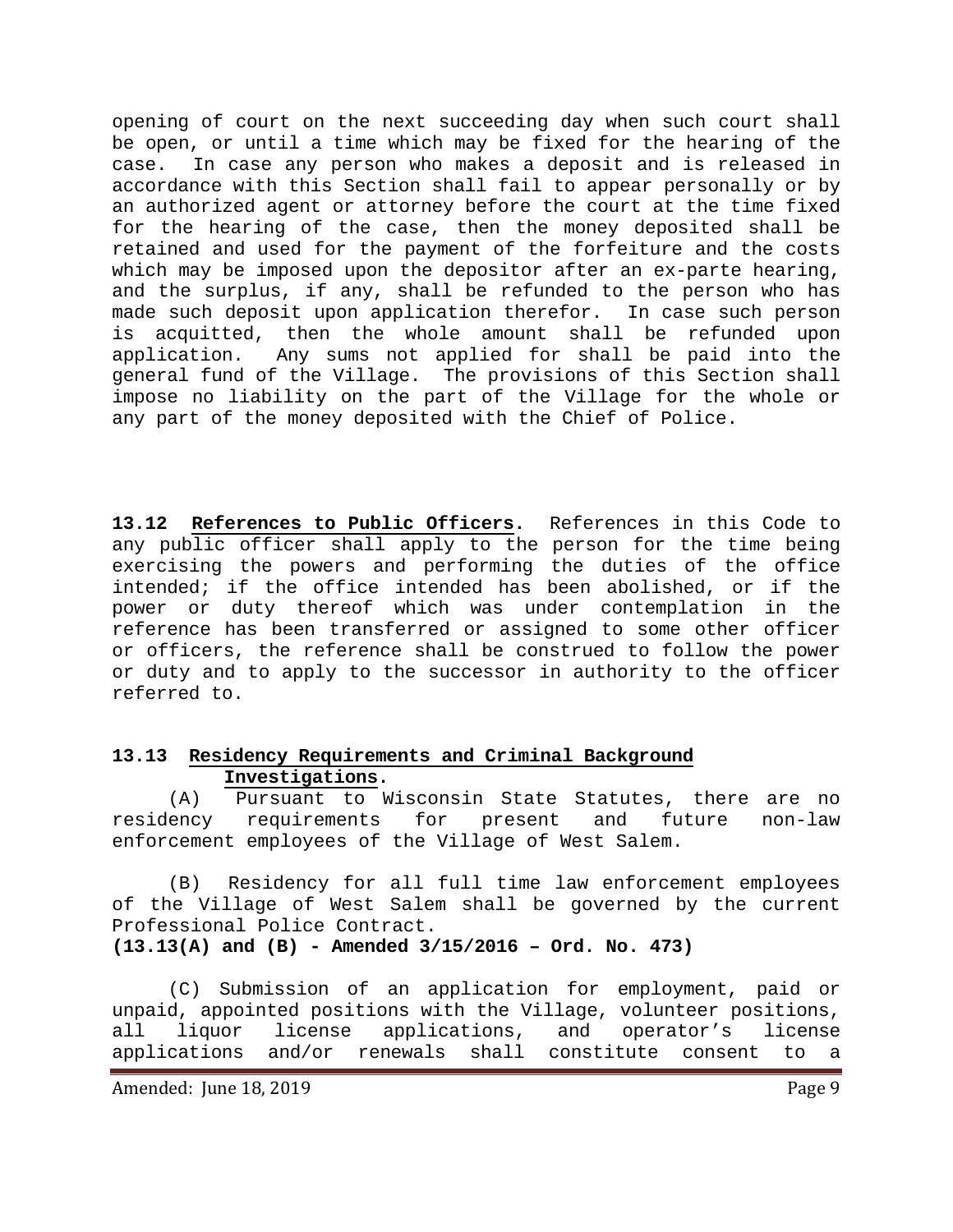opening of court on the next succeeding day when such court shall be open, or until a time which may be fixed for the hearing of the case. In case any person who makes a deposit and is released in accordance with this Section shall fail to appear personally or by an authorized agent or attorney before the court at the time fixed for the hearing of the case, then the money deposited shall be retained and used for the payment of the forfeiture and the costs which may be imposed upon the depositor after an ex-parte hearing, and the surplus, if any, shall be refunded to the person who has made such deposit upon application therefor. In case such person is acquitted, then the whole amount shall be refunded upon application. Any sums not applied for shall be paid into the general fund of the Village. The provisions of this Section shall impose no liability on the part of the Village for the whole or any part of the money deposited with the Chief of Police.

<span id="page-8-0"></span>**13.12 References to Public Officers.** References in this Code to any public officer shall apply to the person for the time being exercising the powers and performing the duties of the office intended; if the office intended has been abolished, or if the power or duty thereof which was under contemplation in the reference has been transferred or assigned to some other officer or officers, the reference shall be construed to follow the power or duty and to apply to the successor in authority to the officer referred to.

## <span id="page-8-1"></span>**13.13 Residency Requirements and Criminal Background Investigations.**

(A) Pursuant to Wisconsin State Statutes, there are no<br>residency requirements for present and future non-law requirements for present and future non-law enforcement employees of the Village of West Salem.

(B) Residency for all full time law enforcement employees of the Village of West Salem shall be governed by the current Professional Police Contract.

**(13.13(A) and (B) - Amended 3/15/2016 – Ord. No. 473)**

(C) Submission of an application for employment, paid or unpaid, appointed positions with the Village, volunteer positions,<br>all liquor license applications, and operator's license all liquor license applications, and operator's license<br>applications and/or renewals shall constitute consent to a applications and/or renewals shall constitute consent to a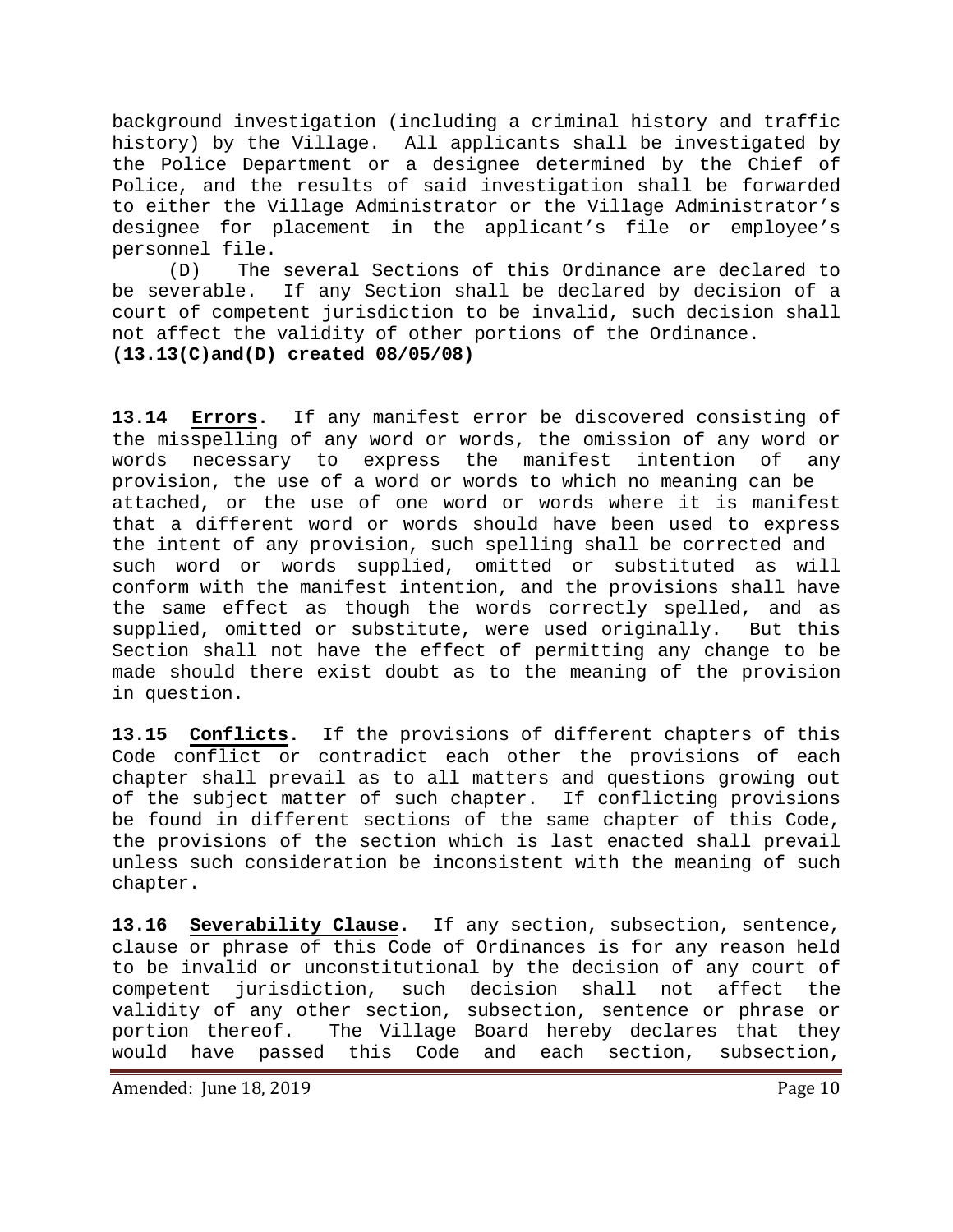background investigation (including a criminal history and traffic history) by the Village. All applicants shall be investigated by the Police Department or a designee determined by the Chief of Police, and the results of said investigation shall be forwarded to either the Village Administrator or the Village Administrator's designee for placement in the applicant's file or employee's personnel file.

(D) The several Sections of this Ordinance are declared to be severable. If any Section shall be declared by decision of a court of competent jurisdiction to be invalid, such decision shall not affect the validity of other portions of the Ordinance. **(13.13(C)and(D) created 08/05/08)**

<span id="page-9-0"></span>**13.14 Errors.** If any manifest error be discovered consisting of the misspelling of any word or words, the omission of any word or<br>words necessary to express the manifest intention of any words necessary to express the manifest intention of any provision, the use of a word or words to which no meaning can be attached, or the use of one word or words where it is manifest that a different word or words should have been used to express the intent of any provision, such spelling shall be corrected and such word or words supplied, omitted or substituted as will conform with the manifest intention, and the provisions shall have the same effect as though the words correctly spelled, and as supplied, omitted or substitute, were used originally. But this Section shall not have the effect of permitting any change to be made should there exist doubt as to the meaning of the provision in question.

<span id="page-9-1"></span>**13.15 Conflicts.** If the provisions of different chapters of this Code conflict or contradict each other the provisions of each chapter shall prevail as to all matters and questions growing out of the subject matter of such chapter. If conflicting provisions be found in different sections of the same chapter of this Code, the provisions of the section which is last enacted shall prevail unless such consideration be inconsistent with the meaning of such chapter.

<span id="page-9-2"></span>**13.16 Severability Clause.** If any section, subsection, sentence, clause or phrase of this Code of Ordinances is for any reason held to be invalid or unconstitutional by the decision of any court of competent jurisdiction, such decision shall not affect the validity of any other section, subsection, sentence or phrase or portion thereof. The Village Board hereby declares that they<br>would have passed this Code and each section, subsection, have passed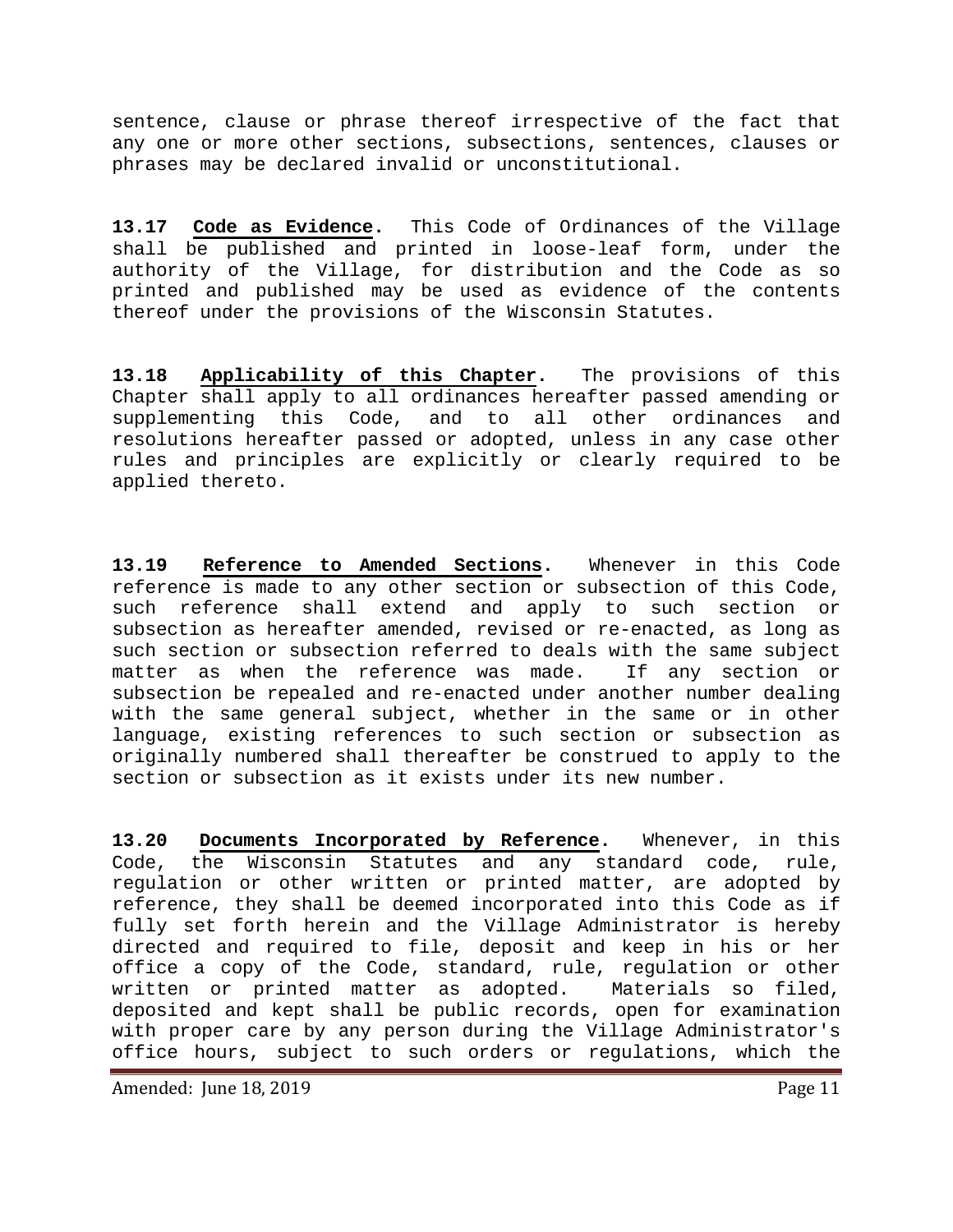sentence, clause or phrase thereof irrespective of the fact that any one or more other sections, subsections, sentences, clauses or phrases may be declared invalid or unconstitutional.

<span id="page-10-0"></span>**13.17 Code as Evidence.** This Code of Ordinances of the Village shall be published and printed in loose-leaf form, under the authority of the Village, for distribution and the Code as so printed and published may be used as evidence of the contents thereof under the provisions of the Wisconsin Statutes.

<span id="page-10-1"></span>**13.18 Applicability of this Chapter.** The provisions of this Chapter shall apply to all ordinances hereafter passed amending or supplementing this Code, and to all other ordinances and resolutions hereafter passed or adopted, unless in any case other rules and principles are explicitly or clearly required to be applied thereto.

**13.19 Reference to Amended Sections.** Whenever in this Code reference is made to any other section or subsection of this Code, such reference shall extend and apply to such section or subsection as hereafter amended, revised or re-enacted, as long as such section or subsection referred to deals with the same subject<br>matter as when the reference was made. If any section or matter as when the reference was made. subsection be repealed and re-enacted under another number dealing with the same general subject, whether in the same or in other language, existing references to such section or subsection as originally numbered shall thereafter be construed to apply to the section or subsection as it exists under its new number.

<span id="page-10-2"></span>**13.20 Documents Incorporated by Reference.** Whenever, in this Code, the Wisconsin Statutes and any standard code, rule, regulation or other written or printed matter, are adopted by reference, they shall be deemed incorporated into this Code as if fully set forth herein and the Village Administrator is hereby directed and required to file, deposit and keep in his or her office a copy of the Code, standard, rule, regulation or other<br>written or printed matter as adopted. Materials so filed, written or printed matter as adopted. deposited and kept shall be public records, open for examination with proper care by any person during the Village Administrator's office hours, subject to such orders or regulations, which the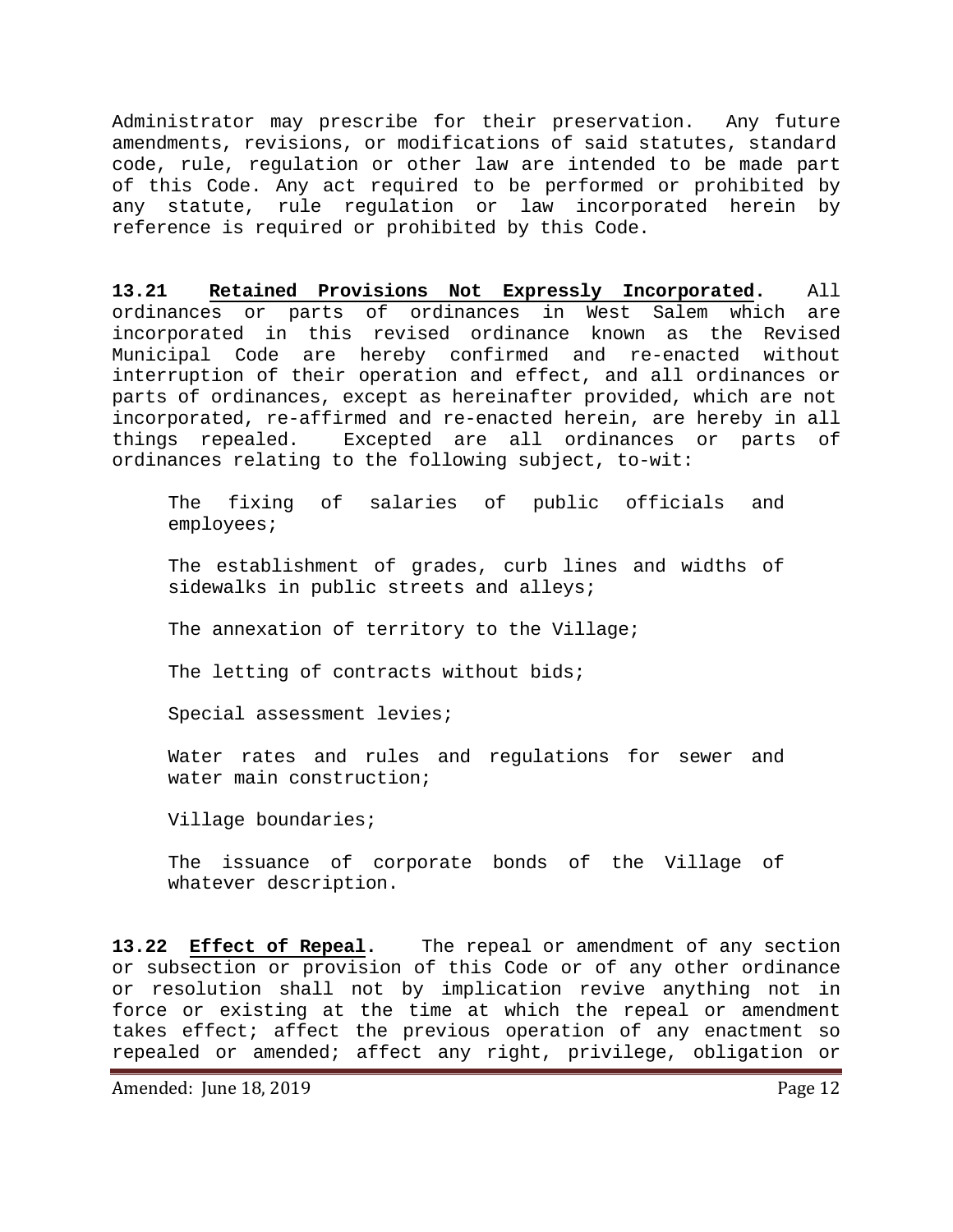Administrator may prescribe for their preservation. Any future amendments, revisions, or modifications of said statutes, standard code, rule, regulation or other law are intended to be made part of this Code. Any act required to be performed or prohibited by any statute, rule regulation or law incorporated herein by reference is required or prohibited by this Code.

<span id="page-11-0"></span>**13.21 Retained Provisions Not Expressly Incorporated.** All ordinances or parts of ordinances in West Salem which are incorporated in this revised ordinance known as the Revised Municipal Code are hereby confirmed and re-enacted without interruption of their operation and effect, and all ordinances or parts of ordinances, except as hereinafter provided, which are not incorporated, re-affirmed and re-enacted herein, are hereby in all things repealed. Excepted are all ordinances or parts of ordinances relating to the following subject, to-wit:

The fixing of salaries of public officials and employees;

The establishment of grades, curb lines and widths of sidewalks in public streets and alleys;

The annexation of territory to the Village;

The letting of contracts without bids;

Special assessment levies;

Water rates and rules and regulations for sewer and water main construction;

Village boundaries;

The issuance of corporate bonds of the Village of whatever description.

<span id="page-11-1"></span>**13.22 Effect of Repeal.** The repeal or amendment of any section or subsection or provision of this Code or of any other ordinance or resolution shall not by implication revive anything not in force or existing at the time at which the repeal or amendment takes effect; affect the previous operation of any enactment so repealed or amended; affect any right, privilege, obligation or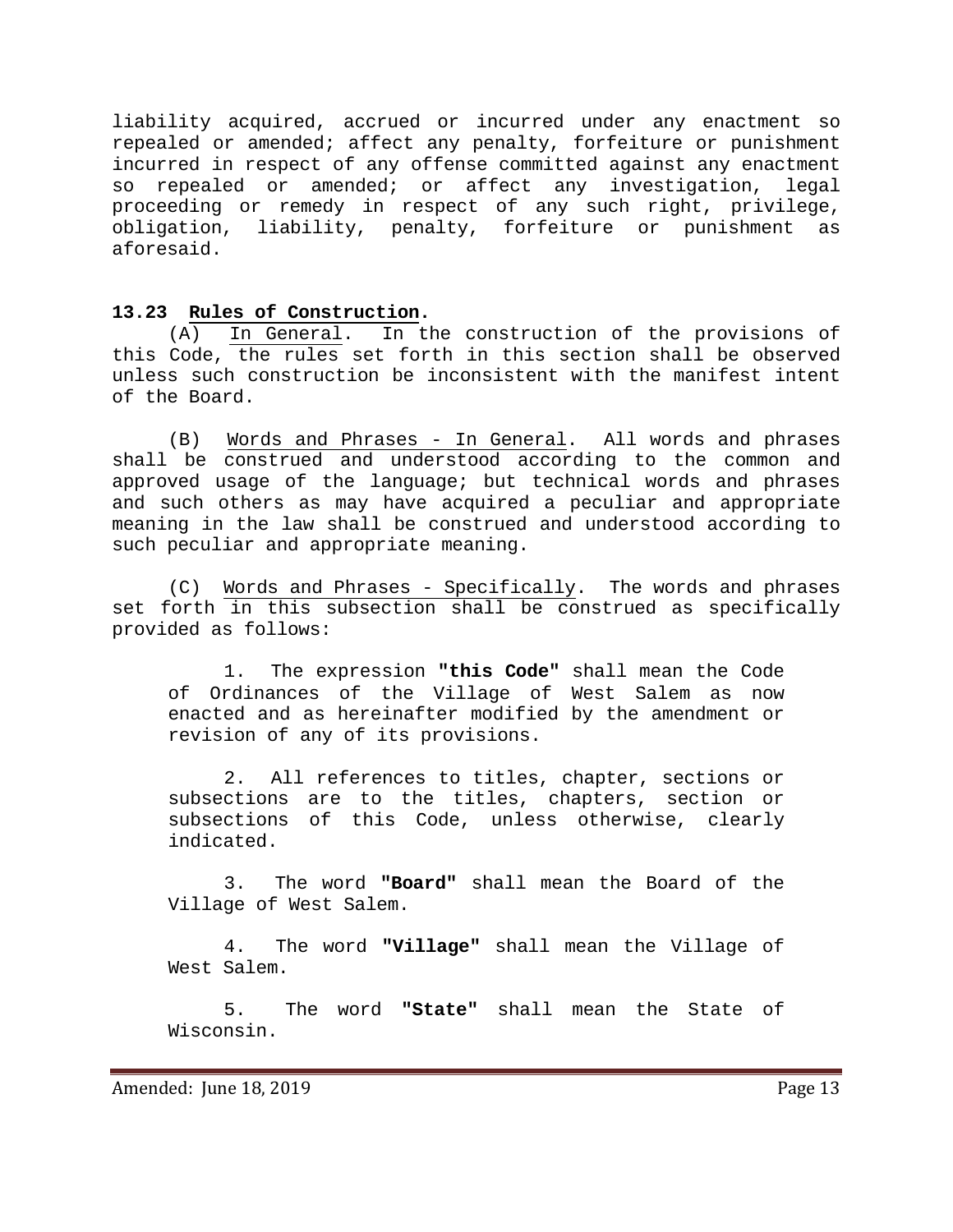liability acquired, accrued or incurred under any enactment so repealed or amended; affect any penalty, forfeiture or punishment incurred in respect of any offense committed against any enactment so repealed or amended; or affect any investigation, legal proceeding or remedy in respect of any such right, privilege, obligation, liability, penalty, forfeiture or punishment as aforesaid.

<span id="page-12-0"></span>13.23 **Rules of Construction.**<br>(A) In General. In the (A) In General. In the construction of the provisions of this Code, the rules set forth in this section shall be observed unless such construction be inconsistent with the manifest intent of the Board.

(B) Words and Phrases - In General. All words and phrases shall be construed and understood according to the common and approved usage of the language; but technical words and phrases and such others as may have acquired a peculiar and appropriate meaning in the law shall be construed and understood according to such peculiar and appropriate meaning.

(C) Words and Phrases - Specifically. The words and phrases set forth in this subsection shall be construed as specifically provided as follows:

1. The expression **"this Code"** shall mean the Code of Ordinances of the Village of West Salem as now enacted and as hereinafter modified by the amendment or revision of any of its provisions.

2. All references to titles, chapter, sections or subsections are to the titles, chapters, section or subsections of this Code, unless otherwise, clearly indicated.

3. The word **"Board"** shall mean the Board of the Village of West Salem.

4. The word **"Village"** shall mean the Village of West Salem.

5. The word **"State"** shall mean the State of Wisconsin.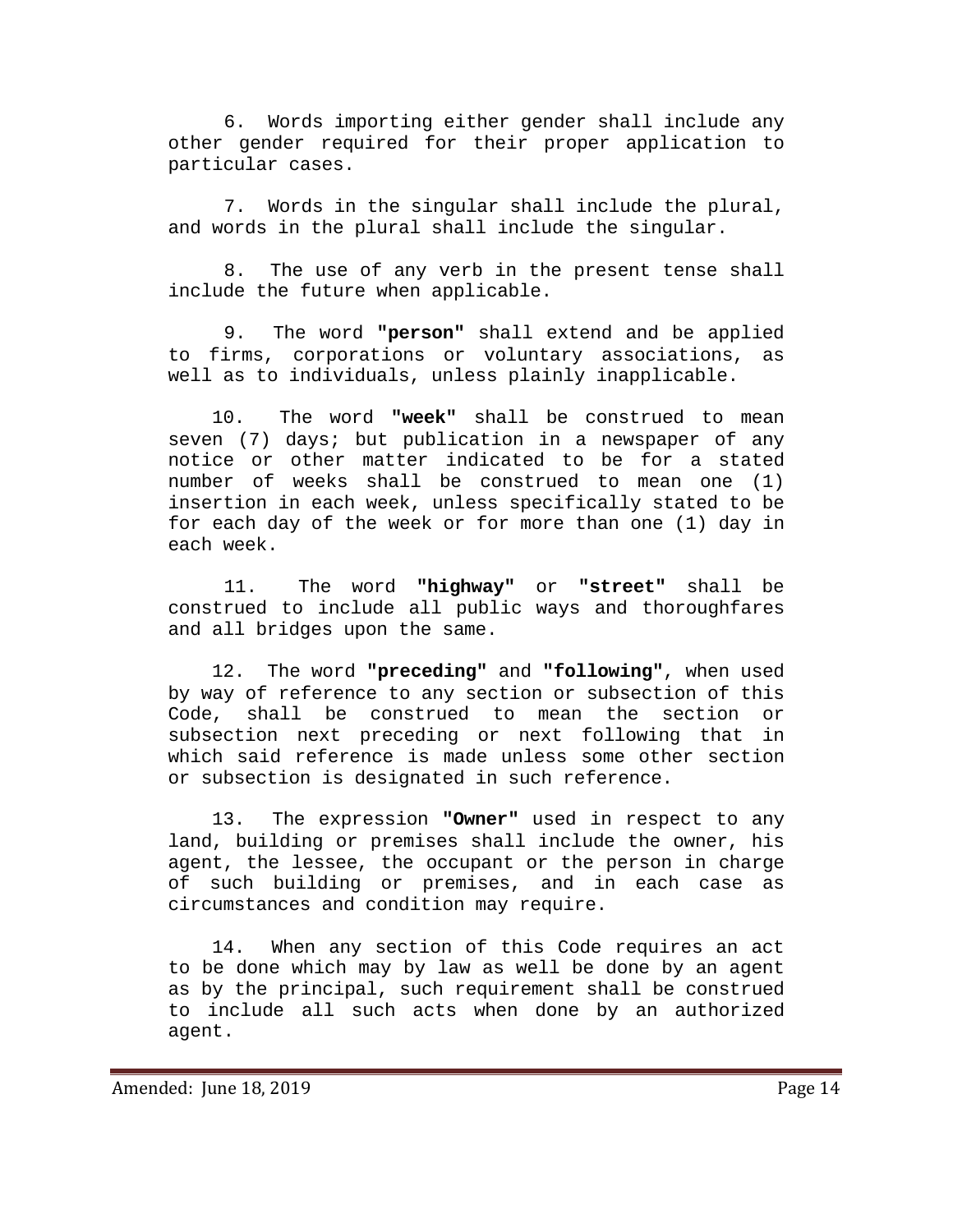6. Words importing either gender shall include any other gender required for their proper application to particular cases.

7. Words in the singular shall include the plural, and words in the plural shall include the singular.

8. The use of any verb in the present tense shall include the future when applicable.

9. The word **"person"** shall extend and be applied to firms, corporations or voluntary associations, as well as to individuals, unless plainly inapplicable.

 10. The word **"week"** shall be construed to mean seven (7) days; but publication in a newspaper of any notice or other matter indicated to be for a stated number of weeks shall be construed to mean one (1) insertion in each week, unless specifically stated to be for each day of the week or for more than one (1) day in each week.

11. The word **"highway"** or **"street"** shall be construed to include all public ways and thoroughfares and all bridges upon the same.

 12. The word **"preceding"** and **"following"**, when used by way of reference to any section or subsection of this Code, shall be construed to mean the section or subsection next preceding or next following that in which said reference is made unless some other section or subsection is designated in such reference.

 13. The expression **"Owner"** used in respect to any land, building or premises shall include the owner, his agent, the lessee, the occupant or the person in charge of such building or premises, and in each case as circumstances and condition may require.

 14. When any section of this Code requires an act to be done which may by law as well be done by an agent as by the principal, such requirement shall be construed to include all such acts when done by an authorized agent.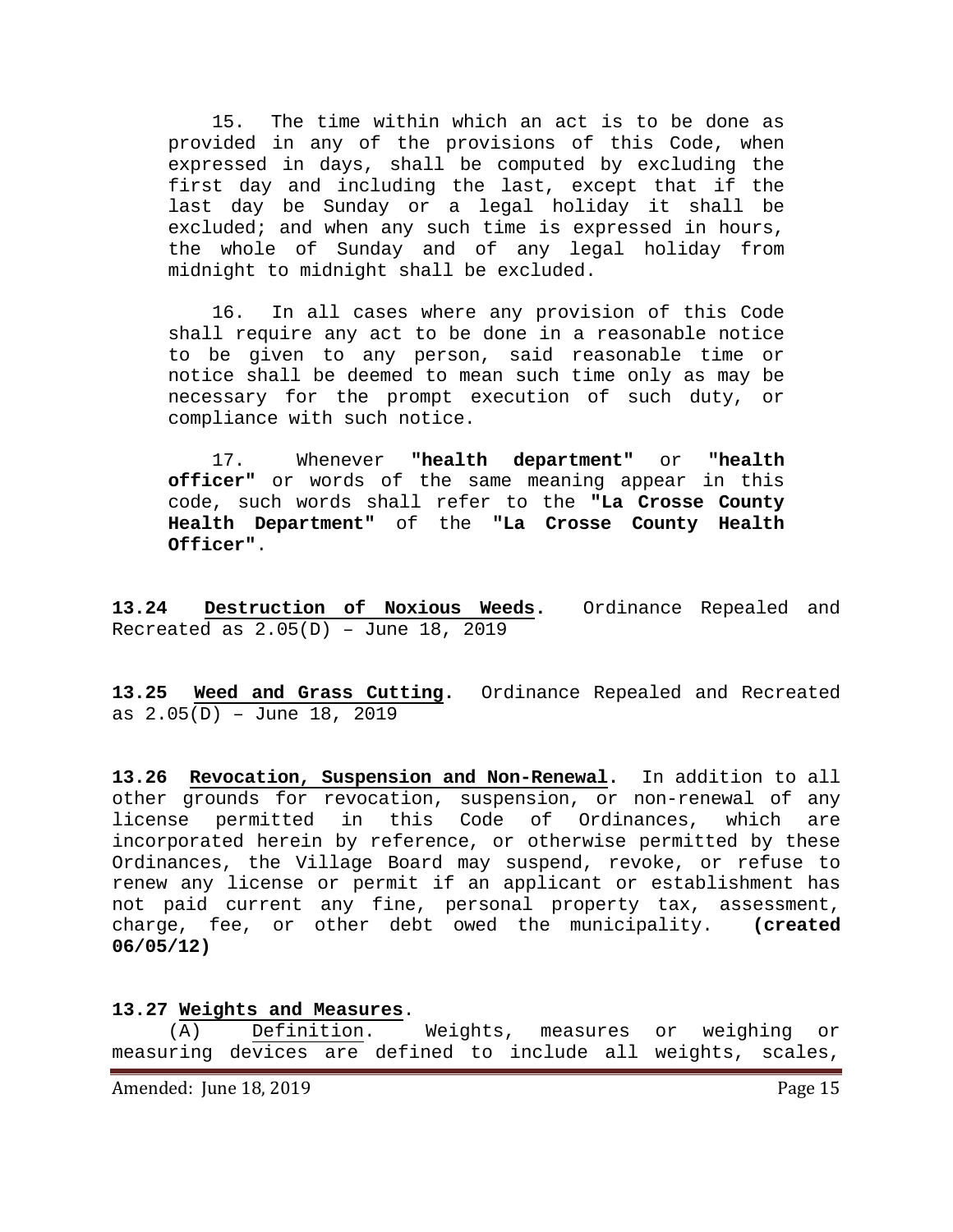15. The time within which an act is to be done as provided in any of the provisions of this Code, when expressed in days, shall be computed by excluding the first day and including the last, except that if the last day be Sunday or a legal holiday it shall be excluded; and when any such time is expressed in hours, the whole of Sunday and of any legal holiday from midnight to midnight shall be excluded.

 16. In all cases where any provision of this Code shall require any act to be done in a reasonable notice to be given to any person, said reasonable time or notice shall be deemed to mean such time only as may be necessary for the prompt execution of such duty, or compliance with such notice.

 17. Whenever **"health department"** or **"health officer"** or words of the same meaning appear in this code, such words shall refer to the **"La Crosse County Health Department"** of the **"La Crosse County Health Officer"**.

**13.24 Destruction of Noxious Weeds.** Ordinance Repealed and Recreated as  $2.05(D)$  - June 18, 2019

**13.25 Weed and Grass Cutting.** Ordinance Repealed and Recreated as 2.05(D) – June 18, 2019

<span id="page-14-0"></span>**13.26 Revocation, Suspension and Non-Renewal.** In addition to all other grounds for revocation, suspension, or non-renewal of any<br>license permitted in this Code of Ordinances, which are license permitted in this Code of Ordinances, which incorporated herein by reference, or otherwise permitted by these Ordinances, the Village Board may suspend, revoke, or refuse to renew any license or permit if an applicant or establishment has not paid current any fine, personal property tax, assessment, charge, fee, or other debt owed the municipality. **(created 06/05/12)**

#### <span id="page-14-1"></span>**13.27 Weights and Measures**.

(A) Definition. Weights, measures or weighing or measuring devices are defined to include all weights, scales,